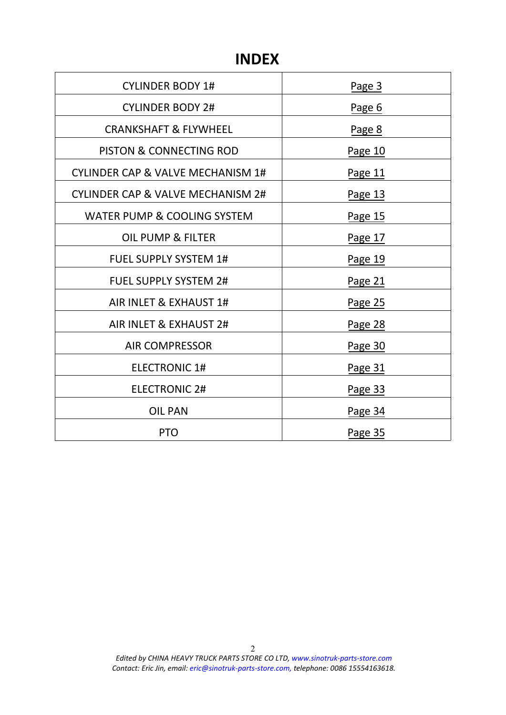# **INDEX**

| <b>CYLINDER BODY 1#</b>                      | Page 3  |
|----------------------------------------------|---------|
| <b>CYLINDER BODY 2#</b>                      | Page 6  |
| <b>CRANKSHAFT &amp; FLYWHEEL</b>             | Page 8  |
| PISTON & CONNECTING ROD                      | Page 10 |
| <b>CYLINDER CAP &amp; VALVE MECHANISM 1#</b> | Page 11 |
| <b>CYLINDER CAP &amp; VALVE MECHANISM 2#</b> | Page 13 |
| WATER PUMP & COOLING SYSTEM                  | Page 15 |
| <b>OIL PUMP &amp; FILTER</b>                 | Page 17 |
| <b>FUEL SUPPLY SYSTEM 1#</b>                 | Page 19 |
| <b>FUEL SUPPLY SYSTEM 2#</b>                 | Page 21 |
| AIR INLET & EXHAUST 1#                       | Page 25 |
| AIR INLET & EXHAUST 2#                       | Page 28 |
| <b>AIR COMPRESSOR</b>                        | Page 30 |
| <b>ELECTRONIC 1#</b>                         | Page 31 |
| <b>ELECTRONIC 2#</b>                         | Page 33 |
| <b>OIL PAN</b>                               | Page 34 |
| <b>PTO</b>                                   | Page 35 |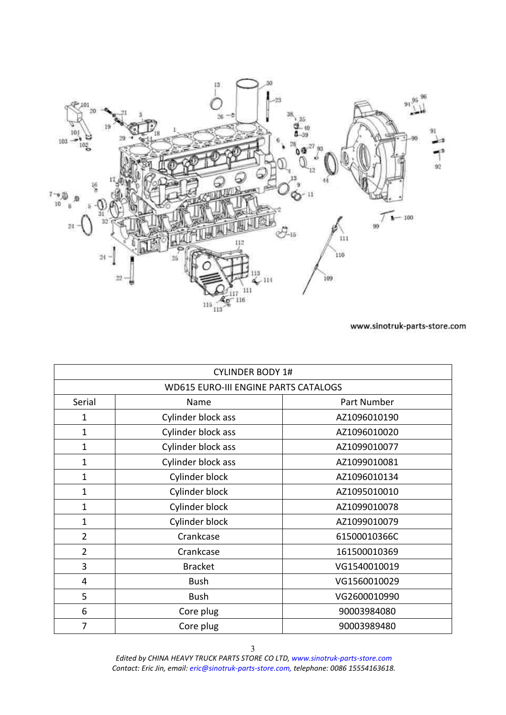<span id="page-2-0"></span>

|                | <b>CYLINDER BODY 1#</b>                     |              |  |
|----------------|---------------------------------------------|--------------|--|
|                | <b>WD615 EURO-III ENGINE PARTS CATALOGS</b> |              |  |
| Serial         | Name                                        | Part Number  |  |
| 1              | Cylinder block ass                          | AZ1096010190 |  |
| 1              | Cylinder block ass                          | AZ1096010020 |  |
| 1              | Cylinder block ass                          | AZ1099010077 |  |
| 1              | Cylinder block ass                          | AZ1099010081 |  |
| 1              | Cylinder block                              | AZ1096010134 |  |
| 1              | Cylinder block                              | AZ1095010010 |  |
| $\mathbf{1}$   | Cylinder block                              | AZ1099010078 |  |
| $\mathbf{1}$   | Cylinder block                              | AZ1099010079 |  |
| $\overline{2}$ | Crankcase                                   | 61500010366C |  |
| $\overline{2}$ | Crankcase                                   | 161500010369 |  |
| 3              | <b>Bracket</b>                              | VG1540010019 |  |
| 4              | <b>Bush</b>                                 | VG1560010029 |  |
| 5              | <b>Bush</b>                                 | VG2600010990 |  |
| 6              | Core plug                                   | 90003984080  |  |
| 7              | Core plug                                   | 90003989480  |  |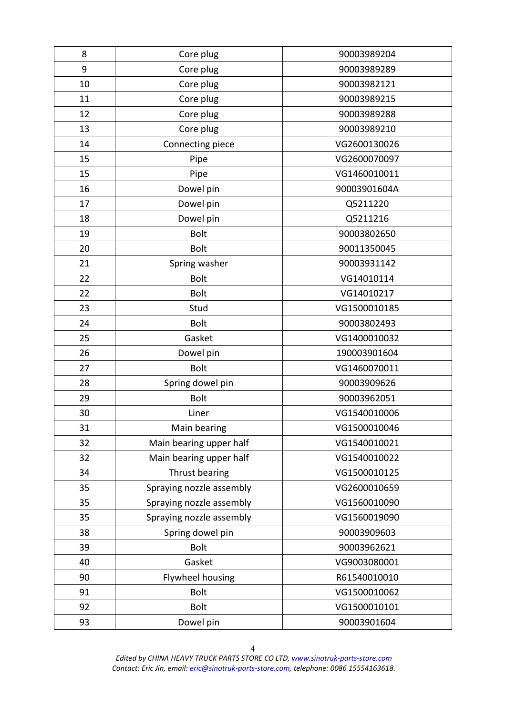| 8  | Core plug                | 90003989204  |
|----|--------------------------|--------------|
| 9  | Core plug                | 90003989289  |
| 10 | Core plug                | 90003982121  |
| 11 | Core plug                | 90003989215  |
| 12 | Core plug                | 90003989288  |
| 13 | Core plug                | 90003989210  |
| 14 | Connecting piece         | VG2600130026 |
| 15 | Pipe                     | VG2600070097 |
| 15 | Pipe                     | VG1460010011 |
| 16 | Dowel pin                | 90003901604A |
| 17 | Dowel pin                | Q5211220     |
| 18 | Dowel pin                | Q5211216     |
| 19 | <b>Bolt</b>              | 90003802650  |
| 20 | <b>Bolt</b>              | 90011350045  |
| 21 | Spring washer            | 90003931142  |
| 22 | <b>Bolt</b>              | VG14010114   |
| 22 | <b>Bolt</b>              | VG14010217   |
| 23 | Stud                     | VG1500010185 |
| 24 | <b>Bolt</b>              | 90003802493  |
| 25 | Gasket                   | VG1400010032 |
| 26 | Dowel pin                | 190003901604 |
| 27 | <b>Bolt</b>              | VG1460070011 |
| 28 | Spring dowel pin         | 90003909626  |
| 29 | <b>Bolt</b>              | 90003962051  |
| 30 | Liner                    | VG1540010006 |
| 31 | Main bearing             | VG1500010046 |
| 32 | Main bearing upper half  | VG1540010021 |
| 32 | Main bearing upper half  | VG1540010022 |
| 34 | Thrust bearing           | VG1500010125 |
| 35 | Spraying nozzle assembly | VG2600010659 |
| 35 | Spraying nozzle assembly | VG1560010090 |
| 35 | Spraying nozzle assembly | VG1560019090 |
| 38 | Spring dowel pin         | 90003909603  |
| 39 | <b>Bolt</b>              | 90003962621  |
| 40 | Gasket                   | VG9003080001 |
| 90 | Flywheel housing         | R61540010010 |
| 91 | <b>Bolt</b>              | VG1500010062 |
| 92 | <b>Bolt</b>              | VG1500010101 |
| 93 | Dowel pin                | 90003901604  |
|    |                          |              |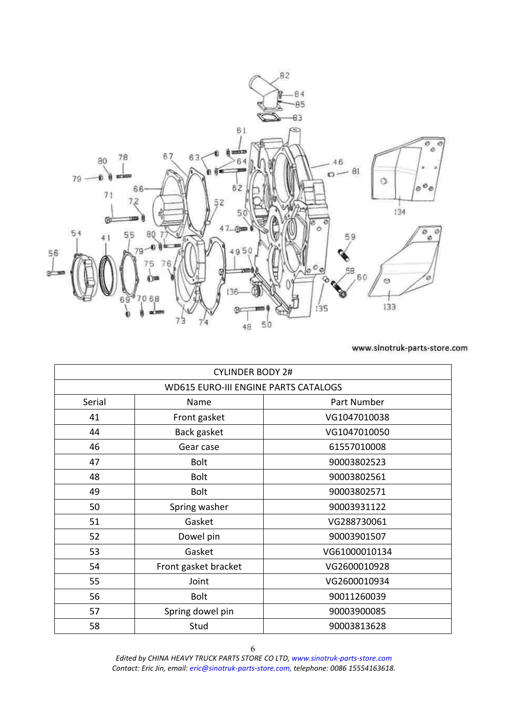<span id="page-5-0"></span>

|        | <b>CYLINDER BODY 2#</b>                     |               |
|--------|---------------------------------------------|---------------|
|        | <b>WD615 EURO-III ENGINE PARTS CATALOGS</b> |               |
| Serial | Name                                        | Part Number   |
| 41     | Front gasket                                | VG1047010038  |
| 44     | Back gasket                                 | VG1047010050  |
| 46     | Gear case                                   | 61557010008   |
| 47     | <b>Bolt</b>                                 | 90003802523   |
| 48     | <b>Bolt</b>                                 | 90003802561   |
| 49     | <b>Bolt</b>                                 | 90003802571   |
| 50     | Spring washer                               | 90003931122   |
| 51     | Gasket                                      | VG288730061   |
| 52     | Dowel pin                                   | 90003901507   |
| 53     | Gasket                                      | VG61000010134 |
| 54     | Front gasket bracket                        | VG2600010928  |
| 55     | Joint                                       | VG2600010934  |
| 56     | <b>Bolt</b>                                 | 90011260039   |
| 57     | Spring dowel pin                            | 90003900085   |
| 58     | Stud                                        | 90003813628   |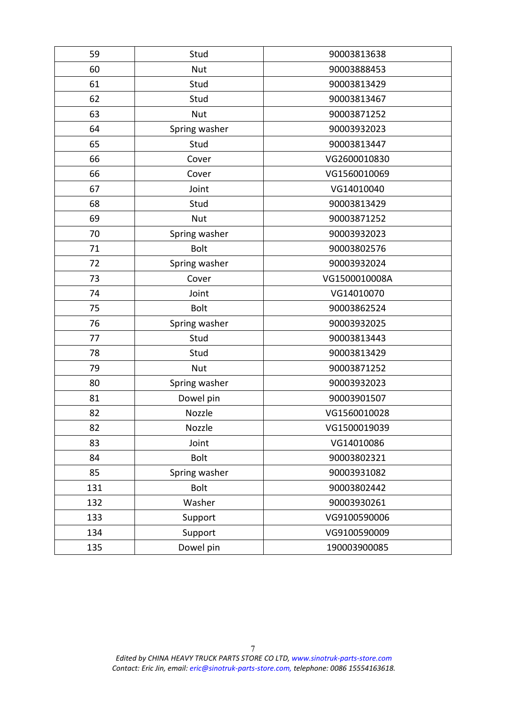| 59  | Stud          | 90003813638   |
|-----|---------------|---------------|
| 60  | <b>Nut</b>    | 90003888453   |
| 61  | Stud          | 90003813429   |
| 62  | Stud          | 90003813467   |
| 63  | <b>Nut</b>    | 90003871252   |
| 64  | Spring washer | 90003932023   |
| 65  | Stud          | 90003813447   |
| 66  | Cover         | VG2600010830  |
| 66  | Cover         | VG1560010069  |
| 67  | Joint         | VG14010040    |
| 68  | Stud          | 90003813429   |
| 69  | <b>Nut</b>    | 90003871252   |
| 70  | Spring washer | 90003932023   |
| 71  | <b>Bolt</b>   | 90003802576   |
| 72  | Spring washer | 90003932024   |
| 73  | Cover         | VG1500010008A |
| 74  | Joint         | VG14010070    |
| 75  | <b>Bolt</b>   | 90003862524   |
| 76  | Spring washer | 90003932025   |
| 77  | Stud          | 90003813443   |
| 78  | Stud          | 90003813429   |
| 79  | <b>Nut</b>    | 90003871252   |
| 80  | Spring washer | 90003932023   |
| 81  | Dowel pin     | 90003901507   |
| 82  | Nozzle        | VG1560010028  |
| 82  | Nozzle        | VG1500019039  |
| 83  | Joint         | VG14010086    |
| 84  | <b>Bolt</b>   | 90003802321   |
| 85  | Spring washer | 90003931082   |
| 131 | <b>Bolt</b>   | 90003802442   |
| 132 | Washer        | 90003930261   |
| 133 | Support       | VG9100590006  |
| 134 | Support       | VG9100590009  |
| 135 | Dowel pin     | 190003900085  |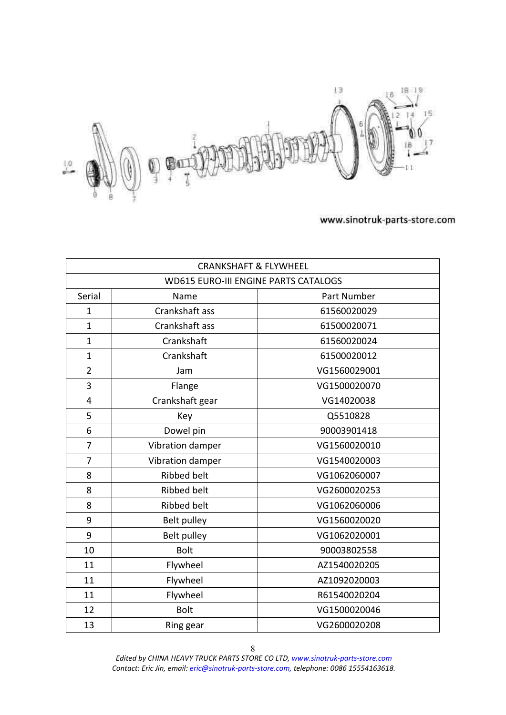<span id="page-7-0"></span>

| <b>CRANKSHAFT &amp; FLYWHEEL</b>            |                    |              |
|---------------------------------------------|--------------------|--------------|
| <b>WD615 EURO-III ENGINE PARTS CATALOGS</b> |                    |              |
| Serial                                      | Name               | Part Number  |
| $\mathbf{1}$                                | Crankshaft ass     | 61560020029  |
| $\mathbf{1}$                                | Crankshaft ass     | 61500020071  |
| $\mathbf{1}$                                | Crankshaft         | 61560020024  |
| $\mathbf{1}$                                | Crankshaft         | 61500020012  |
| $\overline{2}$                              | Jam                | VG1560029001 |
| 3                                           | Flange             | VG1500020070 |
| $\overline{4}$                              | Crankshaft gear    | VG14020038   |
| 5                                           | Key                | Q5510828     |
| 6                                           | Dowel pin          | 90003901418  |
| $\overline{7}$                              | Vibration damper   | VG1560020010 |
| $\overline{7}$                              | Vibration damper   | VG1540020003 |
| 8                                           | <b>Ribbed belt</b> | VG1062060007 |
| 8                                           | <b>Ribbed belt</b> | VG2600020253 |
| 8                                           | <b>Ribbed belt</b> | VG1062060006 |
| 9                                           | Belt pulley        | VG1560020020 |
| 9                                           | Belt pulley        | VG1062020001 |
| 10                                          | <b>Bolt</b>        | 90003802558  |
| 11                                          | Flywheel           | AZ1540020205 |
| 11                                          | Flywheel           | AZ1092020003 |
| 11                                          | Flywheel           | R61540020204 |
| 12                                          | <b>Bolt</b>        | VG1500020046 |
| 13                                          | Ring gear          | VG2600020208 |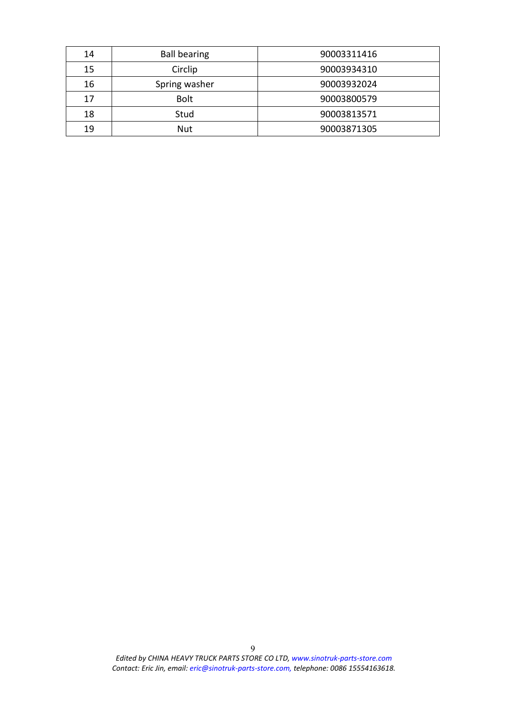| 14                  | <b>Ball bearing</b> | 90003311416 |
|---------------------|---------------------|-------------|
| Circlip<br>15       |                     | 90003934310 |
| 16<br>Spring washer |                     | 90003932024 |
| 17                  | <b>Bolt</b>         | 90003800579 |
| 18                  | Stud                | 90003813571 |
| 19                  | Nut                 | 90003871305 |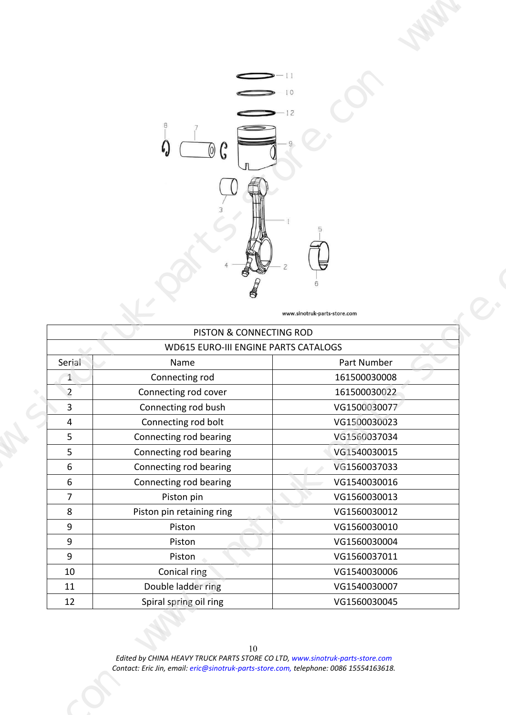<span id="page-9-0"></span>

| $\bigodot$ -11<br>$\sum_{12}$<br>⊨<br>www.sinotruk-parts-store.com<br>PISTON & CONNECTING ROD<br>WD615 EURO-III ENGINE PARTS CATALOGS<br>Part Number<br>Serial<br>Name<br>161500030008<br>Connecting rod<br>$\mathbf{1}$<br>161500030022<br>$\overline{2}$<br>Connecting rod cover<br>3 <sup>7</sup><br>Connecting rod bush<br>VG1500030077<br>VG1500030023<br>Connecting rod bolt<br>$\overline{4}$<br>VG1560037034<br>Connecting rod bearing<br>5 <sub>5</sub><br>Connecting rod bearing<br>VG1540030015<br>5 <sub>5</sub><br>Connecting rod bearing<br>VG1560037033<br>6<br>Connecting rod bearing<br>VG1540030016<br>6<br>VG1560030013<br>$\overline{7}$<br>Piston pin<br>Piston pin retaining ring<br>VG1560030012<br>8<br>VG1560030010<br>9<br>Piston<br>Piston<br>VG1560030004<br>9<br>VG1560037011<br>Piston<br>9<br>VG1540030006<br>Conical ring<br>10<br>Double ladder ring<br>VG1540030007<br>11<br>12<br>Spiral spring oil ring<br>VG1560030045 |  |  |
|-------------------------------------------------------------------------------------------------------------------------------------------------------------------------------------------------------------------------------------------------------------------------------------------------------------------------------------------------------------------------------------------------------------------------------------------------------------------------------------------------------------------------------------------------------------------------------------------------------------------------------------------------------------------------------------------------------------------------------------------------------------------------------------------------------------------------------------------------------------------------------------------------------------------------------------------------------------|--|--|
|                                                                                                                                                                                                                                                                                                                                                                                                                                                                                                                                                                                                                                                                                                                                                                                                                                                                                                                                                             |  |  |
|                                                                                                                                                                                                                                                                                                                                                                                                                                                                                                                                                                                                                                                                                                                                                                                                                                                                                                                                                             |  |  |
|                                                                                                                                                                                                                                                                                                                                                                                                                                                                                                                                                                                                                                                                                                                                                                                                                                                                                                                                                             |  |  |
|                                                                                                                                                                                                                                                                                                                                                                                                                                                                                                                                                                                                                                                                                                                                                                                                                                                                                                                                                             |  |  |
|                                                                                                                                                                                                                                                                                                                                                                                                                                                                                                                                                                                                                                                                                                                                                                                                                                                                                                                                                             |  |  |
|                                                                                                                                                                                                                                                                                                                                                                                                                                                                                                                                                                                                                                                                                                                                                                                                                                                                                                                                                             |  |  |
|                                                                                                                                                                                                                                                                                                                                                                                                                                                                                                                                                                                                                                                                                                                                                                                                                                                                                                                                                             |  |  |
|                                                                                                                                                                                                                                                                                                                                                                                                                                                                                                                                                                                                                                                                                                                                                                                                                                                                                                                                                             |  |  |
|                                                                                                                                                                                                                                                                                                                                                                                                                                                                                                                                                                                                                                                                                                                                                                                                                                                                                                                                                             |  |  |
|                                                                                                                                                                                                                                                                                                                                                                                                                                                                                                                                                                                                                                                                                                                                                                                                                                                                                                                                                             |  |  |
|                                                                                                                                                                                                                                                                                                                                                                                                                                                                                                                                                                                                                                                                                                                                                                                                                                                                                                                                                             |  |  |
|                                                                                                                                                                                                                                                                                                                                                                                                                                                                                                                                                                                                                                                                                                                                                                                                                                                                                                                                                             |  |  |
|                                                                                                                                                                                                                                                                                                                                                                                                                                                                                                                                                                                                                                                                                                                                                                                                                                                                                                                                                             |  |  |
|                                                                                                                                                                                                                                                                                                                                                                                                                                                                                                                                                                                                                                                                                                                                                                                                                                                                                                                                                             |  |  |
|                                                                                                                                                                                                                                                                                                                                                                                                                                                                                                                                                                                                                                                                                                                                                                                                                                                                                                                                                             |  |  |
|                                                                                                                                                                                                                                                                                                                                                                                                                                                                                                                                                                                                                                                                                                                                                                                                                                                                                                                                                             |  |  |
|                                                                                                                                                                                                                                                                                                                                                                                                                                                                                                                                                                                                                                                                                                                                                                                                                                                                                                                                                             |  |  |
|                                                                                                                                                                                                                                                                                                                                                                                                                                                                                                                                                                                                                                                                                                                                                                                                                                                                                                                                                             |  |  |
|                                                                                                                                                                                                                                                                                                                                                                                                                                                                                                                                                                                                                                                                                                                                                                                                                                                                                                                                                             |  |  |
|                                                                                                                                                                                                                                                                                                                                                                                                                                                                                                                                                                                                                                                                                                                                                                                                                                                                                                                                                             |  |  |
|                                                                                                                                                                                                                                                                                                                                                                                                                                                                                                                                                                                                                                                                                                                                                                                                                                                                                                                                                             |  |  |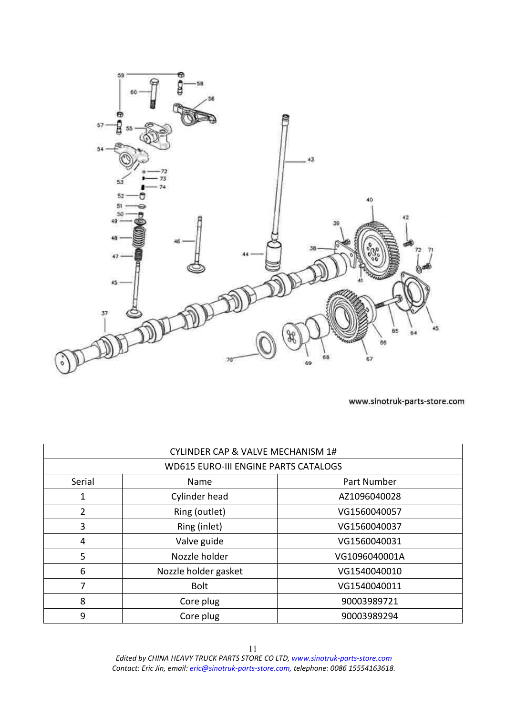<span id="page-10-0"></span>

| <b>CYLINDER CAP &amp; VALVE MECHANISM 1#</b> |                      |               |
|----------------------------------------------|----------------------|---------------|
| <b>WD615 EURO-III ENGINE PARTS CATALOGS</b>  |                      |               |
| Serial                                       | Part Number<br>Name  |               |
|                                              | Cylinder head        | AZ1096040028  |
| 2                                            | Ring (outlet)        | VG1560040057  |
| 3                                            | Ring (inlet)         | VG1560040037  |
| 4                                            | Valve guide          | VG1560040031  |
| 5                                            | Nozzle holder        | VG1096040001A |
| 6                                            | Nozzle holder gasket | VG1540040010  |
| 7                                            | <b>Bolt</b>          | VG1540040011  |
| 8                                            | Core plug            | 90003989721   |
| 9                                            | Core plug            | 90003989294   |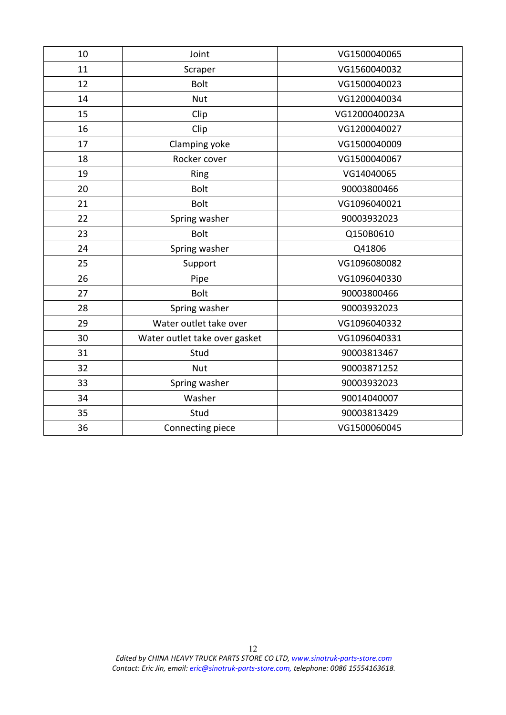| 10 | Joint                         | VG1500040065  |
|----|-------------------------------|---------------|
| 11 | Scraper                       | VG1560040032  |
| 12 | <b>Bolt</b>                   | VG1500040023  |
| 14 | <b>Nut</b>                    | VG1200040034  |
| 15 | Clip                          | VG1200040023A |
| 16 | Clip                          | VG1200040027  |
| 17 | Clamping yoke                 | VG1500040009  |
| 18 | Rocker cover                  | VG1500040067  |
| 19 | Ring                          | VG14040065    |
| 20 | <b>Bolt</b>                   | 90003800466   |
| 21 | <b>Bolt</b>                   | VG1096040021  |
| 22 | Spring washer                 | 90003932023   |
| 23 | <b>Bolt</b>                   | Q150B0610     |
| 24 | Spring washer                 | Q41806        |
| 25 | Support                       | VG1096080082  |
| 26 | Pipe                          | VG1096040330  |
| 27 | <b>Bolt</b>                   | 90003800466   |
| 28 | Spring washer                 | 90003932023   |
| 29 | Water outlet take over        | VG1096040332  |
| 30 | Water outlet take over gasket | VG1096040331  |
| 31 | Stud                          | 90003813467   |
| 32 | <b>Nut</b>                    | 90003871252   |
| 33 | Spring washer                 | 90003932023   |
| 34 | Washer                        | 90014040007   |
| 35 | Stud                          | 90003813429   |
| 36 | Connecting piece              | VG1500060045  |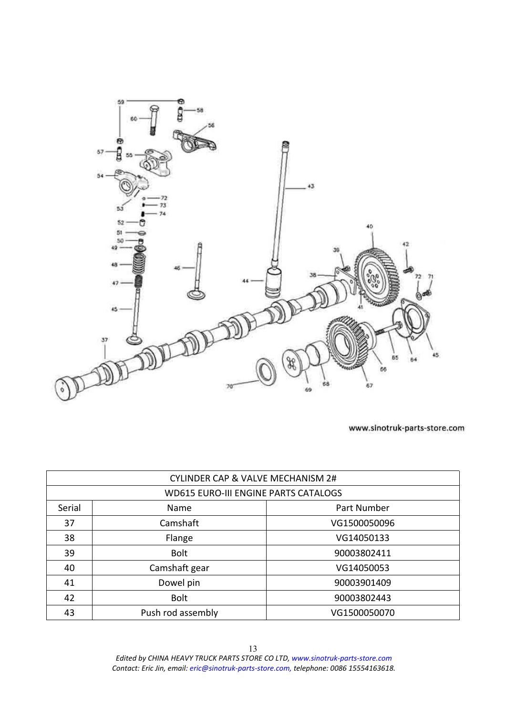<span id="page-12-0"></span>

|        | <b>CYLINDER CAP &amp; VALVE MECHANISM 2#</b> |              |
|--------|----------------------------------------------|--------------|
|        | <b>WD615 EURO-III ENGINE PARTS CATALOGS</b>  |              |
| Serial | Name                                         | Part Number  |
| 37     | Camshaft                                     | VG1500050096 |
| 38     | Flange                                       | VG14050133   |
| 39     | <b>Bolt</b>                                  | 90003802411  |
| 40     | Camshaft gear                                | VG14050053   |
| 41     | Dowel pin                                    | 90003901409  |
| 42     | <b>Bolt</b>                                  | 90003802443  |
| 43     | Push rod assembly                            | VG1500050070 |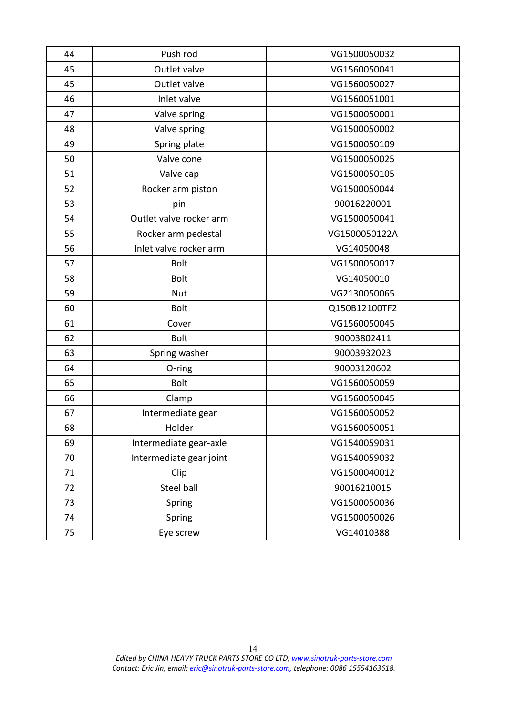| 44 | Push rod                | VG1500050032  |
|----|-------------------------|---------------|
| 45 | Outlet valve            | VG1560050041  |
| 45 | Outlet valve            | VG1560050027  |
| 46 | Inlet valve             | VG1560051001  |
| 47 | Valve spring            | VG1500050001  |
| 48 | Valve spring            | VG1500050002  |
| 49 | Spring plate            | VG1500050109  |
| 50 | Valve cone              | VG1500050025  |
| 51 | Valve cap               | VG1500050105  |
| 52 | Rocker arm piston       | VG1500050044  |
| 53 | pin                     | 90016220001   |
| 54 | Outlet valve rocker arm | VG1500050041  |
| 55 | Rocker arm pedestal     | VG1500050122A |
| 56 | Inlet valve rocker arm  | VG14050048    |
| 57 | <b>Bolt</b>             | VG1500050017  |
| 58 | <b>Bolt</b>             | VG14050010    |
| 59 | <b>Nut</b>              | VG2130050065  |
| 60 | <b>Bolt</b>             | Q150B12100TF2 |
| 61 | Cover                   | VG1560050045  |
| 62 | <b>Bolt</b>             | 90003802411   |
| 63 | Spring washer           | 90003932023   |
| 64 | O-ring                  | 90003120602   |
| 65 | <b>Bolt</b>             | VG1560050059  |
| 66 | Clamp                   | VG1560050045  |
| 67 | Intermediate gear       | VG1560050052  |
| 68 | Holder                  | VG1560050051  |
| 69 | Intermediate gear-axle  | VG1540059031  |
| 70 | Intermediate gear joint | VG1540059032  |
| 71 | Clip                    | VG1500040012  |
| 72 | <b>Steel ball</b>       | 90016210015   |
| 73 | Spring                  | VG1500050036  |
| 74 | Spring                  | VG1500050026  |
| 75 | Eye screw               | VG14010388    |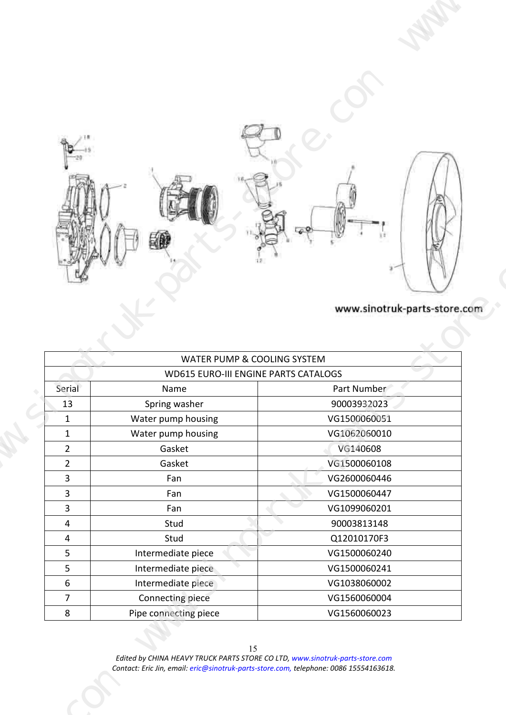<span id="page-14-0"></span>

| >10                                              |                                              |                              |  |
|--------------------------------------------------|----------------------------------------------|------------------------------|--|
|                                                  | 龝                                            |                              |  |
|                                                  |                                              |                              |  |
|                                                  |                                              | www.sinotruk-parts-store.com |  |
|                                                  | WATER PUMP & COOLING SYSTEM                  |                              |  |
| Serial                                           | WD615 EURO-III ENGINE PARTS CATALOGS<br>Name | Part Number                  |  |
| 13<br>$\mathbf{1}$                               | Spring washer<br>Water pump housing          | 90003932023<br>VG1500060051  |  |
| $\mathbf{1}$<br>$\overline{2}$<br>$\overline{2}$ | Water pump housing<br>Gasket                 | VG1062060010<br>VG140608     |  |
| $\overline{3}$                                   | Gasket<br>Fan                                | VG1500060108<br>VG2600060446 |  |
| $\overline{3}$<br>$\overline{3}$                 | Fan<br>Fan                                   | VG1500060447<br>VG1099060201 |  |
| $\overline{4}$<br>$\overline{4}$                 | Stud<br>Stud                                 | 90003813148<br>Q12010170F3   |  |
| $5\overline{)}$<br>$5\overline{)}$               | Intermediate piece<br>Intermediate piece     | VG1500060240<br>VG1500060241 |  |
| 6<br>$\overline{7}$                              | Intermediate piece<br>Connecting piece       | VG1038060002<br>VG1560060004 |  |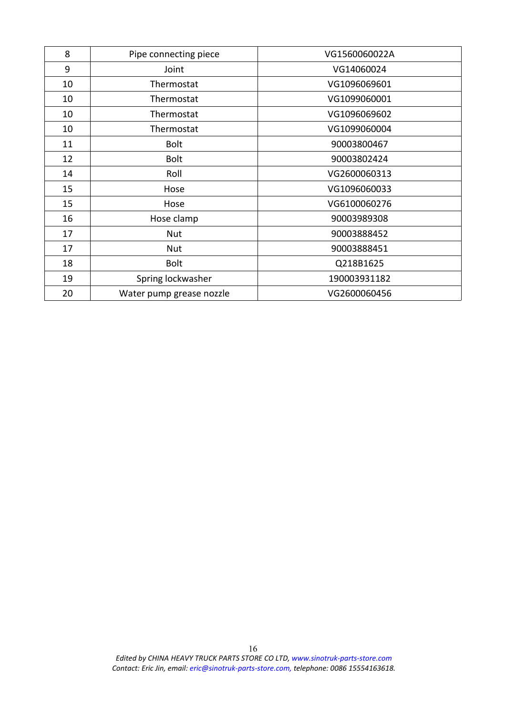| 8  | Pipe connecting piece    | VG1560060022A |
|----|--------------------------|---------------|
| 9  | Joint                    | VG14060024    |
| 10 | Thermostat               | VG1096069601  |
| 10 | Thermostat               | VG1099060001  |
| 10 | Thermostat               | VG1096069602  |
| 10 | Thermostat               | VG1099060004  |
| 11 | <b>Bolt</b>              | 90003800467   |
| 12 | <b>Bolt</b>              | 90003802424   |
| 14 | Roll                     | VG2600060313  |
| 15 | Hose                     | VG1096060033  |
| 15 | Hose                     | VG6100060276  |
| 16 | Hose clamp               | 90003989308   |
| 17 | Nut                      | 90003888452   |
| 17 | Nut                      | 90003888451   |
| 18 | <b>Bolt</b>              | Q218B1625     |
| 19 | Spring lockwasher        | 190003931182  |
| 20 | Water pump grease nozzle | VG2600060456  |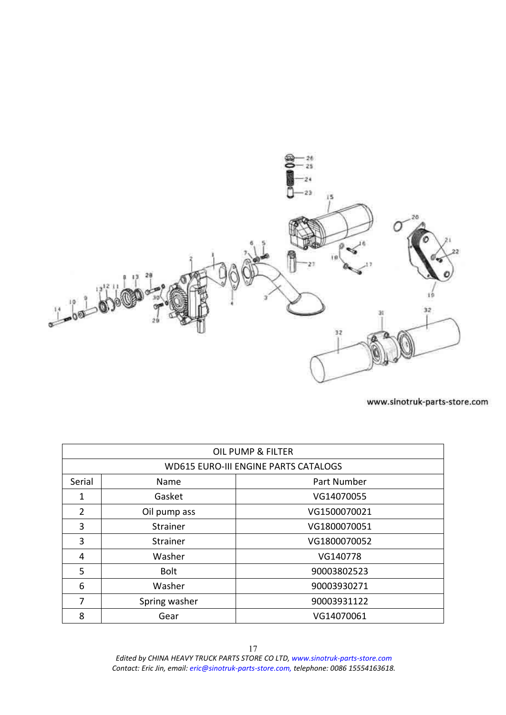<span id="page-16-0"></span>

| OIL PUMP & FILTER |               |                                             |  |  |
|-------------------|---------------|---------------------------------------------|--|--|
|                   |               | <b>WD615 EURO-III ENGINE PARTS CATALOGS</b> |  |  |
| Serial            | Name          | Part Number                                 |  |  |
| 1                 | Gasket        | VG14070055                                  |  |  |
| $\mathcal{P}$     | Oil pump ass  | VG1500070021                                |  |  |
| 3                 | Strainer      | VG1800070051                                |  |  |
| 3                 | Strainer      | VG1800070052                                |  |  |
| 4                 | Washer        | VG140778                                    |  |  |
| 5                 | <b>Bolt</b>   | 90003802523                                 |  |  |
| 6                 | Washer        | 90003930271                                 |  |  |
| 7                 | Spring washer | 90003931122                                 |  |  |
| 8                 | Gear          | VG14070061                                  |  |  |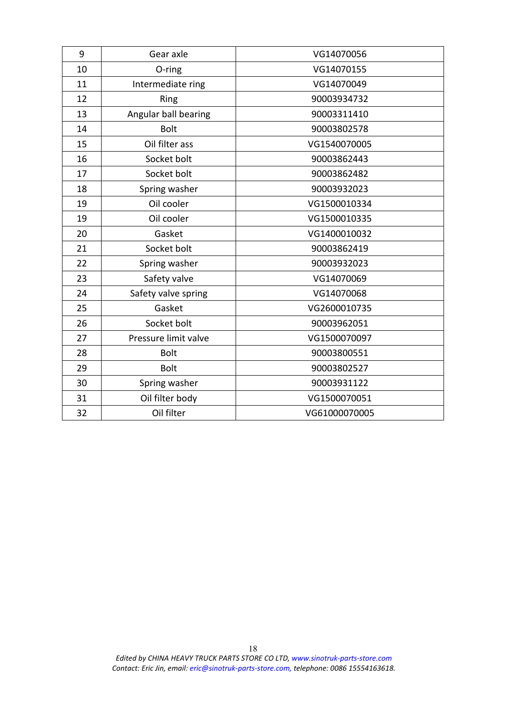| 9  | Gear axle            | VG14070056    |
|----|----------------------|---------------|
| 10 | O-ring               | VG14070155    |
| 11 | Intermediate ring    | VG14070049    |
| 12 | Ring                 | 90003934732   |
| 13 | Angular ball bearing | 90003311410   |
| 14 | <b>Bolt</b>          | 90003802578   |
| 15 | Oil filter ass       | VG1540070005  |
| 16 | Socket bolt          | 90003862443   |
| 17 | Socket bolt          | 90003862482   |
| 18 | Spring washer        | 90003932023   |
| 19 | Oil cooler           | VG1500010334  |
| 19 | Oil cooler           | VG1500010335  |
| 20 | Gasket               | VG1400010032  |
| 21 | Socket bolt          | 90003862419   |
| 22 | Spring washer        | 90003932023   |
| 23 | Safety valve         | VG14070069    |
| 24 | Safety valve spring  | VG14070068    |
| 25 | Gasket               | VG2600010735  |
| 26 | Socket bolt          | 90003962051   |
| 27 | Pressure limit valve | VG1500070097  |
| 28 | <b>Bolt</b>          | 90003800551   |
| 29 | <b>Bolt</b>          | 90003802527   |
| 30 | Spring washer        | 90003931122   |
| 31 | Oil filter body      | VG1500070051  |
| 32 | Oil filter           | VG61000070005 |
|    |                      |               |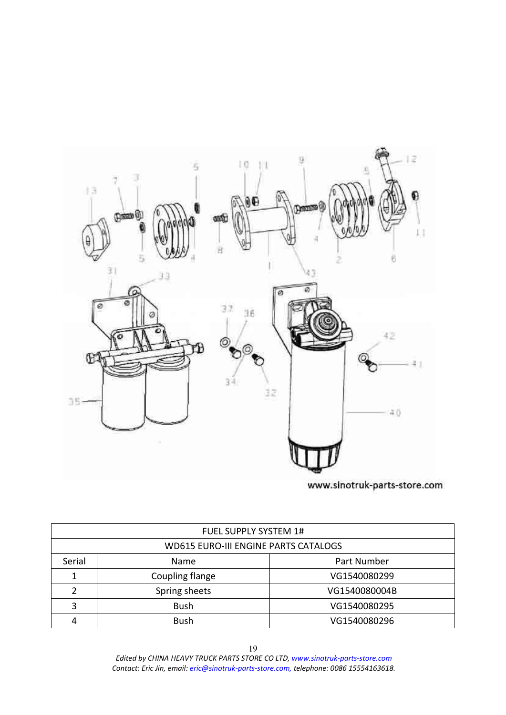<span id="page-18-0"></span>

| <b>FUEL SUPPLY SYSTEM 1#</b>                |                 |               |  |  |
|---------------------------------------------|-----------------|---------------|--|--|
| <b>WD615 EURO-III ENGINE PARTS CATALOGS</b> |                 |               |  |  |
| Serial                                      | Name            | Part Number   |  |  |
|                                             | Coupling flange | VG1540080299  |  |  |
|                                             | Spring sheets   | VG1540080004B |  |  |
| ว                                           | <b>Bush</b>     | VG1540080295  |  |  |
|                                             | <b>Bush</b>     | VG1540080296  |  |  |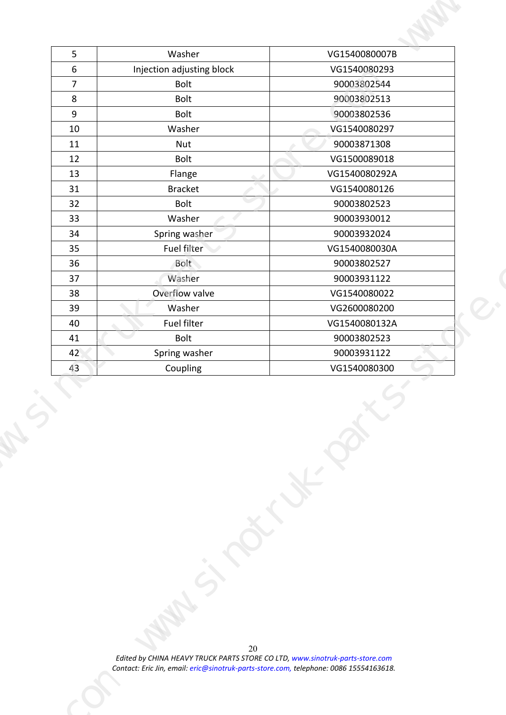| $5\overline{)}$     | Washer                    | VG1540080007B                 |  |
|---------------------|---------------------------|-------------------------------|--|
| $6\overline{6}$     | Injection adjusting block | VG1540080293                  |  |
| $\overline{7}$<br>8 | Bolt<br>Bolt              | 90003802544<br>90003802513    |  |
| 9                   | Bolt                      | 90003802536                   |  |
| 10                  | Washer                    | VG1540080297                  |  |
| 11                  | Nut                       | 90003871308                   |  |
| 12<br>13            | Bolt                      | VG1500089018                  |  |
| 31                  | Flange<br>Bracket         | VG1540080292A<br>VG1540080126 |  |
| 32                  | Bolt                      | 90003802523                   |  |
| 33                  | Washer                    | 90003930012                   |  |
| 34                  | Spring washer             | 90003932024                   |  |
| 35<br>36            | Fuel filter<br>Bolt       | VG1540080030A<br>90003802527  |  |
| 37                  | Washer                    | 90003931122                   |  |
| 38                  | Overflow valve            | VG1540080022                  |  |
| 39                  | Washer                    | VG2600080200                  |  |
| 40                  | Fuel filter               | VG1540080132A                 |  |
| 41<br>42            | Bolt<br>Spring washer     | 90003802523<br>90003931122    |  |
| 43                  | Coupling                  | VG1540080300                  |  |
|                     |                           | $\overline{\phantom{0}}$      |  |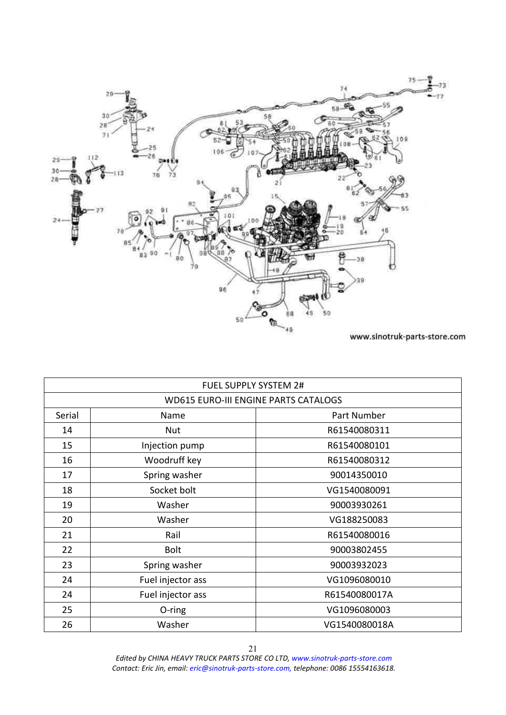<span id="page-20-0"></span>

|        | <b>FUEL SUPPLY SYSTEM 2#</b>                |               |
|--------|---------------------------------------------|---------------|
|        | <b>WD615 EURO-III ENGINE PARTS CATALOGS</b> |               |
| Serial | Name                                        | Part Number   |
| 14     | Nut                                         | R61540080311  |
| 15     | Injection pump                              | R61540080101  |
| 16     | Woodruff key                                | R61540080312  |
| 17     | Spring washer                               | 90014350010   |
| 18     | Socket bolt                                 | VG1540080091  |
| 19     | Washer                                      | 90003930261   |
| 20     | Washer                                      | VG188250083   |
| 21     | Rail                                        | R61540080016  |
| 22     | <b>Bolt</b>                                 | 90003802455   |
| 23     | Spring washer                               | 90003932023   |
| 24     | Fuel injector ass                           | VG1096080010  |
| 24     | Fuel injector ass                           | R61540080017A |
| 25     | O-ring                                      | VG1096080003  |
| 26     | Washer                                      | VG1540080018A |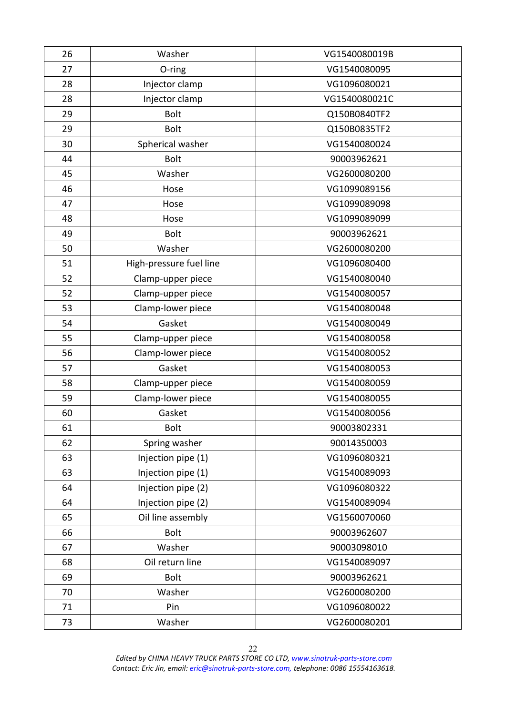| 26 | Washer                  | VG1540080019B |
|----|-------------------------|---------------|
| 27 | O-ring                  | VG1540080095  |
| 28 | Injector clamp          | VG1096080021  |
| 28 | Injector clamp          | VG1540080021C |
| 29 | <b>Bolt</b>             | Q150B0840TF2  |
| 29 | <b>Bolt</b>             | Q150B0835TF2  |
| 30 | Spherical washer        | VG1540080024  |
| 44 | <b>Bolt</b>             | 90003962621   |
| 45 | Washer                  | VG2600080200  |
| 46 | Hose                    | VG1099089156  |
| 47 | Hose                    | VG1099089098  |
| 48 | Hose                    | VG1099089099  |
| 49 | <b>Bolt</b>             | 90003962621   |
| 50 | Washer                  | VG2600080200  |
| 51 | High-pressure fuel line | VG1096080400  |
| 52 | Clamp-upper piece       | VG1540080040  |
| 52 | Clamp-upper piece       | VG1540080057  |
| 53 | Clamp-lower piece       | VG1540080048  |
| 54 | Gasket                  | VG1540080049  |
| 55 | Clamp-upper piece       | VG1540080058  |
| 56 | Clamp-lower piece       | VG1540080052  |
| 57 | Gasket                  | VG1540080053  |
| 58 | Clamp-upper piece       | VG1540080059  |
| 59 | Clamp-lower piece       | VG1540080055  |
| 60 | Gasket                  | VG1540080056  |
| 61 | <b>Bolt</b>             | 90003802331   |
| 62 | Spring washer           | 90014350003   |
| 63 | Injection pipe (1)      | VG1096080321  |
| 63 | Injection pipe (1)      | VG1540089093  |
| 64 | Injection pipe (2)      | VG1096080322  |
| 64 | Injection pipe (2)      | VG1540089094  |
| 65 | Oil line assembly       | VG1560070060  |
| 66 | <b>Bolt</b>             | 90003962607   |
| 67 | Washer                  | 90003098010   |
| 68 |                         |               |
| 69 | Oil return line         | VG1540089097  |
|    | <b>Bolt</b>             | 90003962621   |
| 70 | Washer                  | VG2600080200  |
| 71 | Pin                     | VG1096080022  |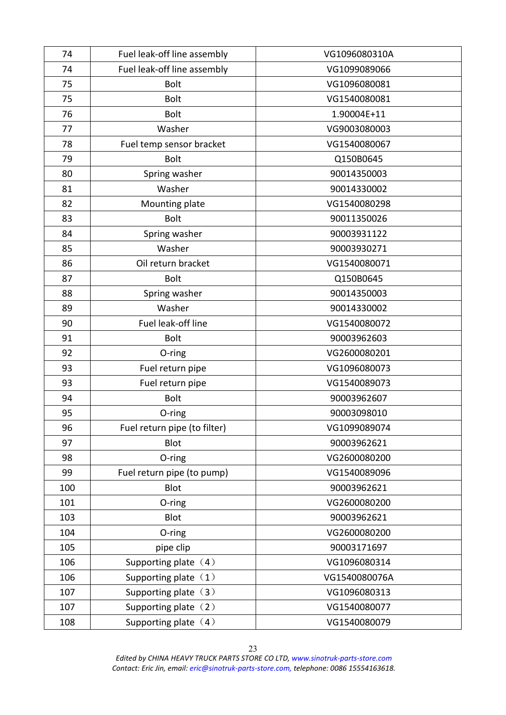| Fuel leak-off line assembly<br>VG1099089066<br>74<br>75<br>VG1096080081<br><b>Bolt</b><br>VG1540080081<br>75<br><b>Bolt</b><br>76<br><b>Bolt</b><br>1.90004E+11<br>Washer<br>VG9003080003<br>77<br>Fuel temp sensor bracket<br>VG1540080067<br>78<br>79<br><b>Bolt</b><br>Q150B0645<br>80<br>Spring washer<br>90014350003<br>81<br>Washer<br>90014330002<br>82<br>VG1540080298<br>Mounting plate<br>83<br><b>Bolt</b><br>90011350026<br>Spring washer<br>90003931122<br>84<br>85<br>Washer<br>90003930271<br>86<br>Oil return bracket<br>VG1540080071<br>87<br><b>Bolt</b><br>Q150B0645<br>Spring washer<br>90014350003<br>88<br>89<br>Washer<br>90014330002<br>Fuel leak-off line<br>90<br>VG1540080072<br>91<br>90003962603<br><b>Bolt</b><br>VG2600080201<br>92<br>O-ring<br>93<br>Fuel return pipe<br>VG1096080073<br>93<br>Fuel return pipe<br>VG1540089073<br>94<br><b>Bolt</b><br>90003962607<br>90003098010<br>95<br>O-ring<br>96<br>Fuel return pipe (to filter)<br>VG1099089074<br>97<br>Blot<br>90003962621<br>98<br>VG2600080200<br>O-ring<br>99<br>Fuel return pipe (to pump)<br>VG1540089096<br>100<br><b>Blot</b><br>90003962621<br>101<br>VG2600080200<br>$O$ -ring<br>103<br>Blot<br>90003962621<br>VG2600080200<br>104<br>O-ring<br>pipe clip<br>90003171697<br>105<br>106<br>Supporting plate $(4)$<br>VG1096080314<br>Supporting plate $(1)$<br>VG1540080076A<br>106<br>Supporting plate $(3)$<br>VG1096080313<br>107<br>Supporting plate (2)<br>VG1540080077<br>107<br>Supporting plate $(4)$<br>108<br>VG1540080079 | 74 | Fuel leak-off line assembly | VG1096080310A |  |
|-------------------------------------------------------------------------------------------------------------------------------------------------------------------------------------------------------------------------------------------------------------------------------------------------------------------------------------------------------------------------------------------------------------------------------------------------------------------------------------------------------------------------------------------------------------------------------------------------------------------------------------------------------------------------------------------------------------------------------------------------------------------------------------------------------------------------------------------------------------------------------------------------------------------------------------------------------------------------------------------------------------------------------------------------------------------------------------------------------------------------------------------------------------------------------------------------------------------------------------------------------------------------------------------------------------------------------------------------------------------------------------------------------------------------------------------------------------------------------------------------------------------------------------------|----|-----------------------------|---------------|--|
|                                                                                                                                                                                                                                                                                                                                                                                                                                                                                                                                                                                                                                                                                                                                                                                                                                                                                                                                                                                                                                                                                                                                                                                                                                                                                                                                                                                                                                                                                                                                           |    |                             |               |  |
|                                                                                                                                                                                                                                                                                                                                                                                                                                                                                                                                                                                                                                                                                                                                                                                                                                                                                                                                                                                                                                                                                                                                                                                                                                                                                                                                                                                                                                                                                                                                           |    |                             |               |  |
|                                                                                                                                                                                                                                                                                                                                                                                                                                                                                                                                                                                                                                                                                                                                                                                                                                                                                                                                                                                                                                                                                                                                                                                                                                                                                                                                                                                                                                                                                                                                           |    |                             |               |  |
|                                                                                                                                                                                                                                                                                                                                                                                                                                                                                                                                                                                                                                                                                                                                                                                                                                                                                                                                                                                                                                                                                                                                                                                                                                                                                                                                                                                                                                                                                                                                           |    |                             |               |  |
|                                                                                                                                                                                                                                                                                                                                                                                                                                                                                                                                                                                                                                                                                                                                                                                                                                                                                                                                                                                                                                                                                                                                                                                                                                                                                                                                                                                                                                                                                                                                           |    |                             |               |  |
|                                                                                                                                                                                                                                                                                                                                                                                                                                                                                                                                                                                                                                                                                                                                                                                                                                                                                                                                                                                                                                                                                                                                                                                                                                                                                                                                                                                                                                                                                                                                           |    |                             |               |  |
|                                                                                                                                                                                                                                                                                                                                                                                                                                                                                                                                                                                                                                                                                                                                                                                                                                                                                                                                                                                                                                                                                                                                                                                                                                                                                                                                                                                                                                                                                                                                           |    |                             |               |  |
|                                                                                                                                                                                                                                                                                                                                                                                                                                                                                                                                                                                                                                                                                                                                                                                                                                                                                                                                                                                                                                                                                                                                                                                                                                                                                                                                                                                                                                                                                                                                           |    |                             |               |  |
|                                                                                                                                                                                                                                                                                                                                                                                                                                                                                                                                                                                                                                                                                                                                                                                                                                                                                                                                                                                                                                                                                                                                                                                                                                                                                                                                                                                                                                                                                                                                           |    |                             |               |  |
|                                                                                                                                                                                                                                                                                                                                                                                                                                                                                                                                                                                                                                                                                                                                                                                                                                                                                                                                                                                                                                                                                                                                                                                                                                                                                                                                                                                                                                                                                                                                           |    |                             |               |  |
|                                                                                                                                                                                                                                                                                                                                                                                                                                                                                                                                                                                                                                                                                                                                                                                                                                                                                                                                                                                                                                                                                                                                                                                                                                                                                                                                                                                                                                                                                                                                           |    |                             |               |  |
|                                                                                                                                                                                                                                                                                                                                                                                                                                                                                                                                                                                                                                                                                                                                                                                                                                                                                                                                                                                                                                                                                                                                                                                                                                                                                                                                                                                                                                                                                                                                           |    |                             |               |  |
|                                                                                                                                                                                                                                                                                                                                                                                                                                                                                                                                                                                                                                                                                                                                                                                                                                                                                                                                                                                                                                                                                                                                                                                                                                                                                                                                                                                                                                                                                                                                           |    |                             |               |  |
|                                                                                                                                                                                                                                                                                                                                                                                                                                                                                                                                                                                                                                                                                                                                                                                                                                                                                                                                                                                                                                                                                                                                                                                                                                                                                                                                                                                                                                                                                                                                           |    |                             |               |  |
|                                                                                                                                                                                                                                                                                                                                                                                                                                                                                                                                                                                                                                                                                                                                                                                                                                                                                                                                                                                                                                                                                                                                                                                                                                                                                                                                                                                                                                                                                                                                           |    |                             |               |  |
|                                                                                                                                                                                                                                                                                                                                                                                                                                                                                                                                                                                                                                                                                                                                                                                                                                                                                                                                                                                                                                                                                                                                                                                                                                                                                                                                                                                                                                                                                                                                           |    |                             |               |  |
|                                                                                                                                                                                                                                                                                                                                                                                                                                                                                                                                                                                                                                                                                                                                                                                                                                                                                                                                                                                                                                                                                                                                                                                                                                                                                                                                                                                                                                                                                                                                           |    |                             |               |  |
|                                                                                                                                                                                                                                                                                                                                                                                                                                                                                                                                                                                                                                                                                                                                                                                                                                                                                                                                                                                                                                                                                                                                                                                                                                                                                                                                                                                                                                                                                                                                           |    |                             |               |  |
|                                                                                                                                                                                                                                                                                                                                                                                                                                                                                                                                                                                                                                                                                                                                                                                                                                                                                                                                                                                                                                                                                                                                                                                                                                                                                                                                                                                                                                                                                                                                           |    |                             |               |  |
|                                                                                                                                                                                                                                                                                                                                                                                                                                                                                                                                                                                                                                                                                                                                                                                                                                                                                                                                                                                                                                                                                                                                                                                                                                                                                                                                                                                                                                                                                                                                           |    |                             |               |  |
|                                                                                                                                                                                                                                                                                                                                                                                                                                                                                                                                                                                                                                                                                                                                                                                                                                                                                                                                                                                                                                                                                                                                                                                                                                                                                                                                                                                                                                                                                                                                           |    |                             |               |  |
|                                                                                                                                                                                                                                                                                                                                                                                                                                                                                                                                                                                                                                                                                                                                                                                                                                                                                                                                                                                                                                                                                                                                                                                                                                                                                                                                                                                                                                                                                                                                           |    |                             |               |  |
|                                                                                                                                                                                                                                                                                                                                                                                                                                                                                                                                                                                                                                                                                                                                                                                                                                                                                                                                                                                                                                                                                                                                                                                                                                                                                                                                                                                                                                                                                                                                           |    |                             |               |  |
|                                                                                                                                                                                                                                                                                                                                                                                                                                                                                                                                                                                                                                                                                                                                                                                                                                                                                                                                                                                                                                                                                                                                                                                                                                                                                                                                                                                                                                                                                                                                           |    |                             |               |  |
|                                                                                                                                                                                                                                                                                                                                                                                                                                                                                                                                                                                                                                                                                                                                                                                                                                                                                                                                                                                                                                                                                                                                                                                                                                                                                                                                                                                                                                                                                                                                           |    |                             |               |  |
|                                                                                                                                                                                                                                                                                                                                                                                                                                                                                                                                                                                                                                                                                                                                                                                                                                                                                                                                                                                                                                                                                                                                                                                                                                                                                                                                                                                                                                                                                                                                           |    |                             |               |  |
|                                                                                                                                                                                                                                                                                                                                                                                                                                                                                                                                                                                                                                                                                                                                                                                                                                                                                                                                                                                                                                                                                                                                                                                                                                                                                                                                                                                                                                                                                                                                           |    |                             |               |  |
|                                                                                                                                                                                                                                                                                                                                                                                                                                                                                                                                                                                                                                                                                                                                                                                                                                                                                                                                                                                                                                                                                                                                                                                                                                                                                                                                                                                                                                                                                                                                           |    |                             |               |  |
|                                                                                                                                                                                                                                                                                                                                                                                                                                                                                                                                                                                                                                                                                                                                                                                                                                                                                                                                                                                                                                                                                                                                                                                                                                                                                                                                                                                                                                                                                                                                           |    |                             |               |  |
|                                                                                                                                                                                                                                                                                                                                                                                                                                                                                                                                                                                                                                                                                                                                                                                                                                                                                                                                                                                                                                                                                                                                                                                                                                                                                                                                                                                                                                                                                                                                           |    |                             |               |  |
|                                                                                                                                                                                                                                                                                                                                                                                                                                                                                                                                                                                                                                                                                                                                                                                                                                                                                                                                                                                                                                                                                                                                                                                                                                                                                                                                                                                                                                                                                                                                           |    |                             |               |  |
|                                                                                                                                                                                                                                                                                                                                                                                                                                                                                                                                                                                                                                                                                                                                                                                                                                                                                                                                                                                                                                                                                                                                                                                                                                                                                                                                                                                                                                                                                                                                           |    |                             |               |  |
|                                                                                                                                                                                                                                                                                                                                                                                                                                                                                                                                                                                                                                                                                                                                                                                                                                                                                                                                                                                                                                                                                                                                                                                                                                                                                                                                                                                                                                                                                                                                           |    |                             |               |  |
|                                                                                                                                                                                                                                                                                                                                                                                                                                                                                                                                                                                                                                                                                                                                                                                                                                                                                                                                                                                                                                                                                                                                                                                                                                                                                                                                                                                                                                                                                                                                           |    |                             |               |  |
|                                                                                                                                                                                                                                                                                                                                                                                                                                                                                                                                                                                                                                                                                                                                                                                                                                                                                                                                                                                                                                                                                                                                                                                                                                                                                                                                                                                                                                                                                                                                           |    |                             |               |  |
|                                                                                                                                                                                                                                                                                                                                                                                                                                                                                                                                                                                                                                                                                                                                                                                                                                                                                                                                                                                                                                                                                                                                                                                                                                                                                                                                                                                                                                                                                                                                           |    |                             |               |  |
|                                                                                                                                                                                                                                                                                                                                                                                                                                                                                                                                                                                                                                                                                                                                                                                                                                                                                                                                                                                                                                                                                                                                                                                                                                                                                                                                                                                                                                                                                                                                           |    |                             |               |  |
|                                                                                                                                                                                                                                                                                                                                                                                                                                                                                                                                                                                                                                                                                                                                                                                                                                                                                                                                                                                                                                                                                                                                                                                                                                                                                                                                                                                                                                                                                                                                           |    |                             |               |  |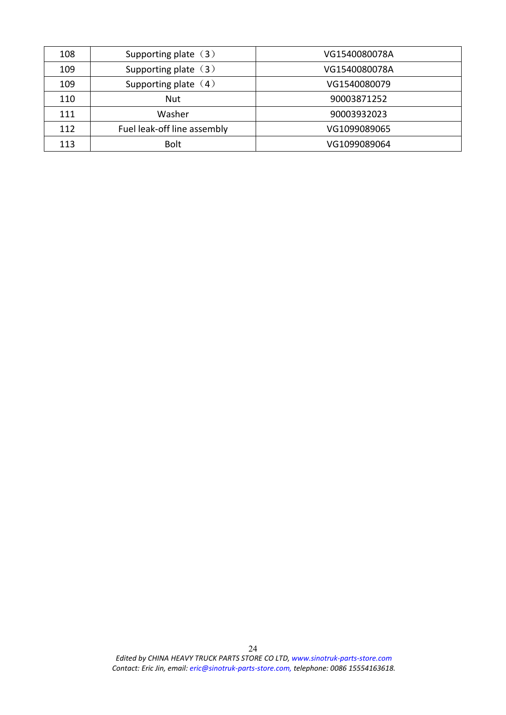| 108 | Supporting plate $(3)$      | VG1540080078A |
|-----|-----------------------------|---------------|
| 109 | Supporting plate $(3)$      | VG1540080078A |
| 109 | Supporting plate $(4)$      | VG1540080079  |
| 110 | <b>Nut</b>                  | 90003871252   |
| 111 | Washer                      | 90003932023   |
| 112 | Fuel leak-off line assembly | VG1099089065  |
| 113 | <b>Bolt</b>                 | VG1099089064  |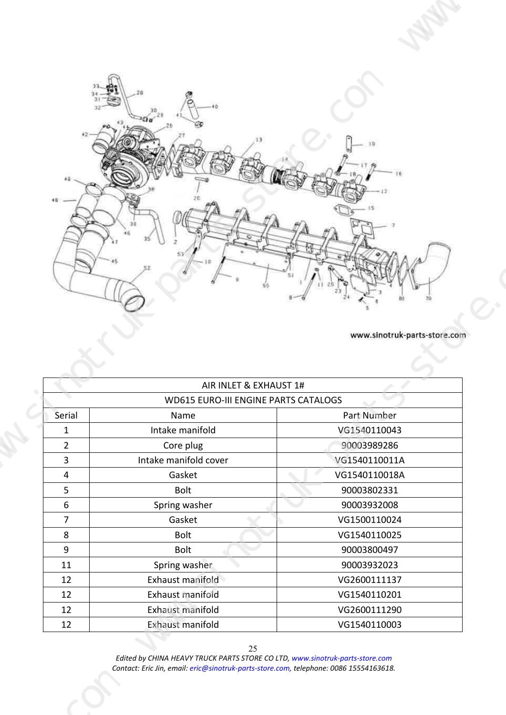

<span id="page-24-0"></span>

|                                             | AIR INLET & EXHAUST 1# |               |  |  |
|---------------------------------------------|------------------------|---------------|--|--|
| <b>WD615 EURO-III ENGINE PARTS CATALOGS</b> |                        |               |  |  |
| Serial                                      | Name                   | Part Number   |  |  |
| 1                                           | Intake manifold        | VG1540110043  |  |  |
| $\overline{2}$                              | Core plug              | 90003989286   |  |  |
| 3                                           | Intake manifold cover  | VG1540110011A |  |  |
| 4                                           | Gasket                 | VG1540110018A |  |  |
| 5                                           | <b>Bolt</b>            | 90003802331   |  |  |
| 6                                           | Spring washer          | 90003932008   |  |  |
| 7                                           | Gasket                 | VG1500110024  |  |  |
| 8                                           | <b>Bolt</b>            | VG1540110025  |  |  |
| 9                                           | <b>Bolt</b>            | 90003800497   |  |  |
| 11                                          | Spring washer          | 90003932023   |  |  |
| 12                                          | Exhaust manifold       | VG2600111137  |  |  |
| 12                                          | Exhaust manifold       | VG1540110201  |  |  |
| 12                                          | Exhaust manifold       | VG2600111290  |  |  |
| 12                                          | Exhaust manifold       | VG1540110003  |  |  |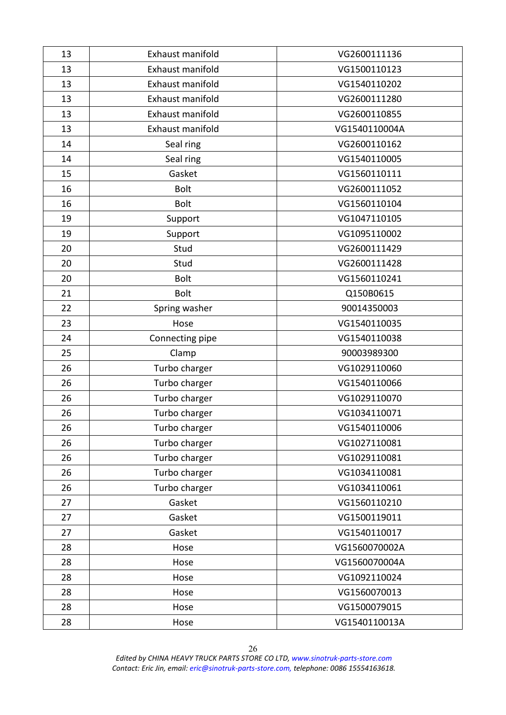| 13 | Exhaust manifold | VG2600111136  |
|----|------------------|---------------|
| 13 | Exhaust manifold | VG1500110123  |
| 13 | Exhaust manifold | VG1540110202  |
| 13 | Exhaust manifold | VG2600111280  |
| 13 | Exhaust manifold | VG2600110855  |
| 13 | Exhaust manifold | VG1540110004A |
| 14 | Seal ring        | VG2600110162  |
| 14 | Seal ring        | VG1540110005  |
| 15 | Gasket           | VG1560110111  |
| 16 | <b>Bolt</b>      | VG2600111052  |
| 16 | <b>Bolt</b>      | VG1560110104  |
| 19 | Support          | VG1047110105  |
| 19 | Support          | VG1095110002  |
| 20 | Stud             | VG2600111429  |
| 20 | Stud             | VG2600111428  |
| 20 | <b>Bolt</b>      | VG1560110241  |
| 21 | <b>Bolt</b>      | Q150B0615     |
| 22 | Spring washer    | 90014350003   |
| 23 | Hose             | VG1540110035  |
| 24 | Connecting pipe  | VG1540110038  |
| 25 | Clamp            | 90003989300   |
| 26 | Turbo charger    | VG1029110060  |
| 26 | Turbo charger    | VG1540110066  |
| 26 | Turbo charger    | VG1029110070  |
| 26 | Turbo charger    | VG1034110071  |
| 26 | Turbo charger    | VG1540110006  |
| 26 | Turbo charger    | VG1027110081  |
| 26 | Turbo charger    | VG1029110081  |
| 26 | Turbo charger    | VG1034110081  |
| 26 | Turbo charger    | VG1034110061  |
| 27 | Gasket           | VG1560110210  |
| 27 | Gasket           | VG1500119011  |
| 27 | Gasket           | VG1540110017  |
| 28 | Hose             | VG1560070002A |
| 28 | Hose             | VG1560070004A |
| 28 | Hose             | VG1092110024  |
| 28 | Hose             | VG1560070013  |
| 28 | Hose             | VG1500079015  |
| 28 | Hose             | VG1540110013A |
|    |                  |               |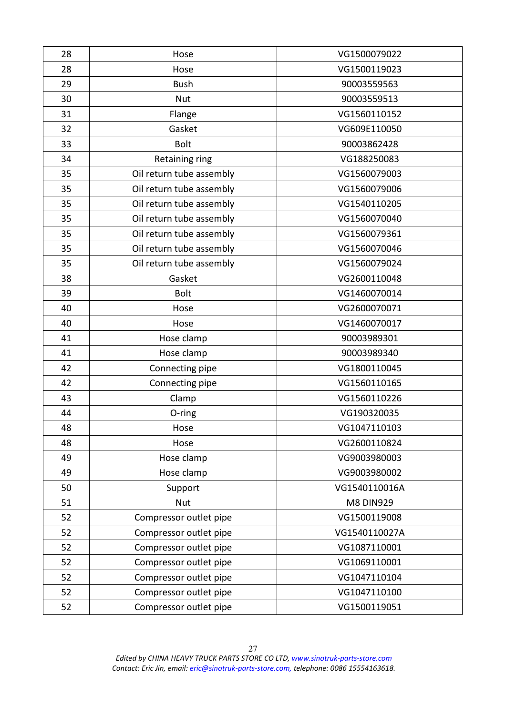| 28 | Hose                     | VG1500079022     |
|----|--------------------------|------------------|
| 28 | Hose                     | VG1500119023     |
| 29 | <b>Bush</b>              | 90003559563      |
| 30 | <b>Nut</b>               | 90003559513      |
| 31 | Flange                   | VG1560110152     |
| 32 | Gasket                   | VG609E110050     |
| 33 | <b>Bolt</b>              | 90003862428      |
| 34 | Retaining ring           | VG188250083      |
| 35 | Oil return tube assembly | VG1560079003     |
| 35 | Oil return tube assembly | VG1560079006     |
| 35 | Oil return tube assembly | VG1540110205     |
| 35 | Oil return tube assembly | VG1560070040     |
| 35 | Oil return tube assembly | VG1560079361     |
| 35 | Oil return tube assembly | VG1560070046     |
| 35 | Oil return tube assembly | VG1560079024     |
| 38 | Gasket                   | VG2600110048     |
| 39 | <b>Bolt</b>              | VG1460070014     |
| 40 | Hose                     | VG2600070071     |
| 40 | Hose                     | VG1460070017     |
| 41 | Hose clamp               | 90003989301      |
| 41 | Hose clamp               | 90003989340      |
| 42 | Connecting pipe          | VG1800110045     |
| 42 | Connecting pipe          | VG1560110165     |
| 43 | Clamp                    | VG1560110226     |
| 44 | O-ring                   | VG190320035      |
| 48 | Hose                     | VG1047110103     |
| 48 | Hose                     | VG2600110824     |
| 49 | Hose clamp               | VG9003980003     |
| 49 | Hose clamp               | VG9003980002     |
| 50 | Support                  | VG1540110016A    |
| 51 | Nut                      | <b>M8 DIN929</b> |
| 52 | Compressor outlet pipe   | VG1500119008     |
| 52 | Compressor outlet pipe   | VG1540110027A    |
| 52 | Compressor outlet pipe   | VG1087110001     |
| 52 | Compressor outlet pipe   | VG1069110001     |
| 52 | Compressor outlet pipe   | VG1047110104     |
| 52 | Compressor outlet pipe   | VG1047110100     |
| 52 | Compressor outlet pipe   | VG1500119051     |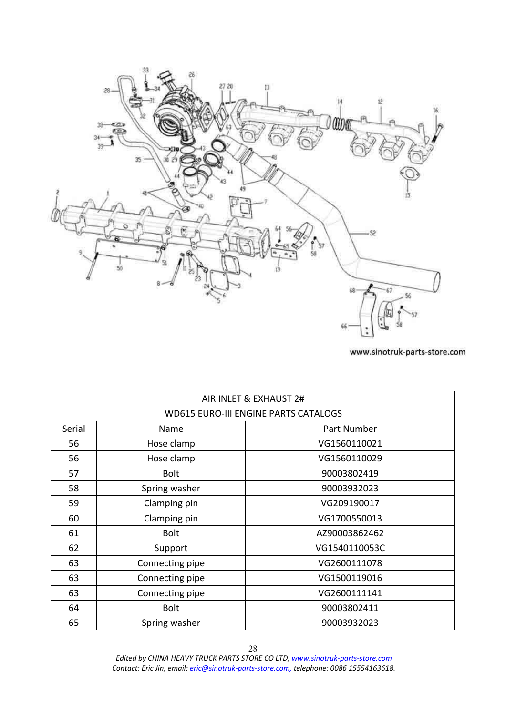<span id="page-27-0"></span>

|        |                 | AIR INLET & EXHAUST 2#                      |
|--------|-----------------|---------------------------------------------|
|        |                 | <b>WD615 EURO-III ENGINE PARTS CATALOGS</b> |
| Serial | Name            | Part Number                                 |
| 56     | Hose clamp      | VG1560110021                                |
| 56     | Hose clamp      | VG1560110029                                |
| 57     | <b>Bolt</b>     | 90003802419                                 |
| 58     | Spring washer   | 90003932023                                 |
| 59     | Clamping pin    | VG209190017                                 |
| 60     | Clamping pin    | VG1700550013                                |
| 61     | <b>Bolt</b>     | AZ90003862462                               |
| 62     | Support         | VG1540110053C                               |
| 63     | Connecting pipe | VG2600111078                                |
| 63     | Connecting pipe | VG1500119016                                |
| 63     | Connecting pipe | VG2600111141                                |
| 64     | <b>Bolt</b>     | 90003802411                                 |
| 65     | Spring washer   | 90003932023                                 |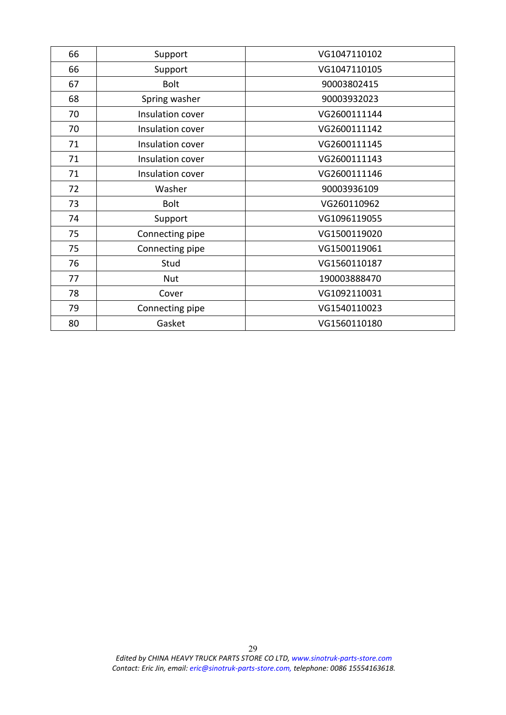| 66 | Support          | VG1047110102 |
|----|------------------|--------------|
| 66 | Support          | VG1047110105 |
| 67 | <b>Bolt</b>      | 90003802415  |
| 68 | Spring washer    | 90003932023  |
| 70 | Insulation cover | VG2600111144 |
| 70 | Insulation cover | VG2600111142 |
| 71 | Insulation cover | VG2600111145 |
| 71 | Insulation cover | VG2600111143 |
| 71 | Insulation cover | VG2600111146 |
| 72 | Washer           | 90003936109  |
| 73 | <b>Bolt</b>      | VG260110962  |
| 74 | Support          | VG1096119055 |
| 75 | Connecting pipe  | VG1500119020 |
| 75 | Connecting pipe  | VG1500119061 |
| 76 | Stud             | VG1560110187 |
| 77 | <b>Nut</b>       | 190003888470 |
| 78 | Cover            | VG1092110031 |
| 79 | Connecting pipe  | VG1540110023 |
| 80 | Gasket           | VG1560110180 |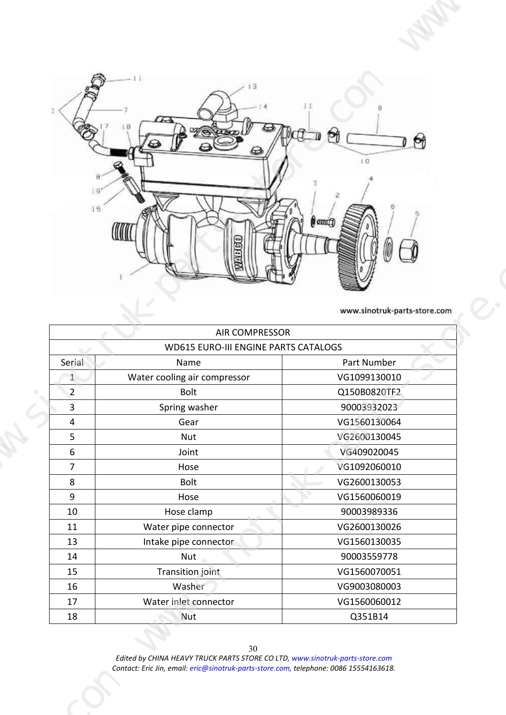<span id="page-29-0"></span>

| $\mathbb{A}$ of $\mathbb{C}$ of $\mathbb{C}$<br>$\Theta$<br>$\Theta$<br>am<br><b>QOLLIQU</b><br>H<br>www.sinotruk-parts-store.com<br>AIR COMPRESSOR<br>WD615 EURO-III ENGINE PARTS CATALOGS<br>Part Number<br>Water cooling air compressor<br>VG1099130010<br>Q150B0820TF2 |
|----------------------------------------------------------------------------------------------------------------------------------------------------------------------------------------------------------------------------------------------------------------------------|
|                                                                                                                                                                                                                                                                            |
|                                                                                                                                                                                                                                                                            |
|                                                                                                                                                                                                                                                                            |
|                                                                                                                                                                                                                                                                            |
|                                                                                                                                                                                                                                                                            |
|                                                                                                                                                                                                                                                                            |
|                                                                                                                                                                                                                                                                            |
|                                                                                                                                                                                                                                                                            |
|                                                                                                                                                                                                                                                                            |
|                                                                                                                                                                                                                                                                            |
|                                                                                                                                                                                                                                                                            |
|                                                                                                                                                                                                                                                                            |
|                                                                                                                                                                                                                                                                            |
|                                                                                                                                                                                                                                                                            |
|                                                                                                                                                                                                                                                                            |
|                                                                                                                                                                                                                                                                            |
|                                                                                                                                                                                                                                                                            |
|                                                                                                                                                                                                                                                                            |
|                                                                                                                                                                                                                                                                            |
|                                                                                                                                                                                                                                                                            |
| 90003932023                                                                                                                                                                                                                                                                |
| VG1560130064                                                                                                                                                                                                                                                               |
| VG2600130045<br>VG409020045                                                                                                                                                                                                                                                |
| VG1092060010<br>VG2600130053                                                                                                                                                                                                                                               |
| VG1560060019                                                                                                                                                                                                                                                               |
| 90003989336<br>VG2600130026                                                                                                                                                                                                                                                |
| Intake pipe connector<br>VG1560130035                                                                                                                                                                                                                                      |
|                                                                                                                                                                                                                                                                            |
| 90003559778                                                                                                                                                                                                                                                                |
| VG1560070051<br>VG9003080003<br>Water inlet connector<br>VG1560060012                                                                                                                                                                                                      |
| Water pipe connector                                                                                                                                                                                                                                                       |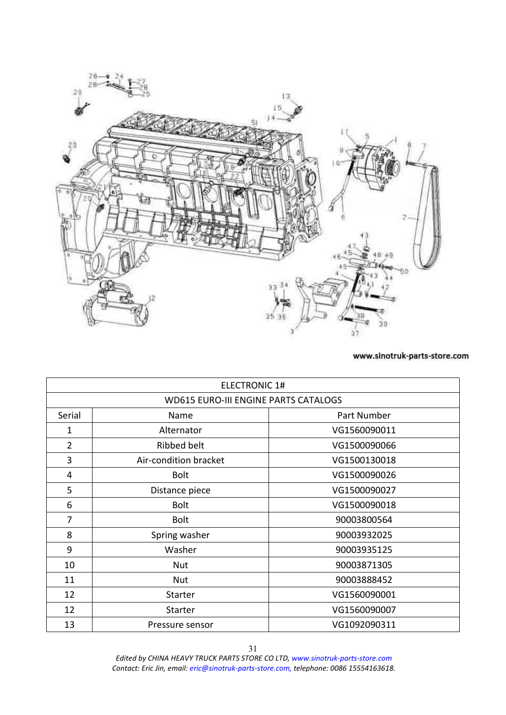<span id="page-30-0"></span>

|                | <b>ELECTRONIC 1#</b>                        |              |
|----------------|---------------------------------------------|--------------|
|                | <b>WD615 EURO-III ENGINE PARTS CATALOGS</b> |              |
| Serial         | Name                                        | Part Number  |
| 1              | Alternator                                  | VG1560090011 |
| $\overline{2}$ | Ribbed belt                                 | VG1500090066 |
| 3              | Air-condition bracket                       | VG1500130018 |
| 4              | <b>Bolt</b>                                 | VG1500090026 |
| 5              | Distance piece                              | VG1500090027 |
| 6              | <b>Bolt</b>                                 | VG1500090018 |
| $\overline{7}$ | <b>Bolt</b>                                 | 90003800564  |
| 8              | Spring washer                               | 90003932025  |
| 9              | Washer                                      | 90003935125  |
| 10             | <b>Nut</b>                                  | 90003871305  |
| 11             | <b>Nut</b>                                  | 90003888452  |
| 12             | <b>Starter</b>                              | VG1560090001 |
| 12             | <b>Starter</b>                              | VG1560090007 |
| 13             | Pressure sensor                             | VG1092090311 |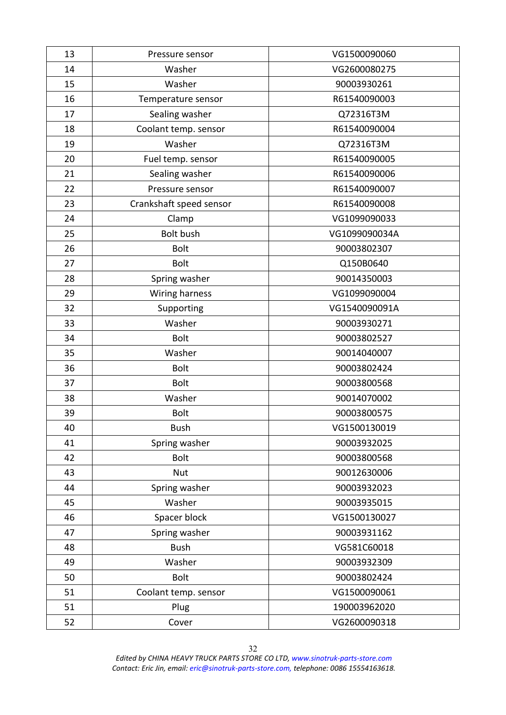| 13 | Pressure sensor         | VG1500090060  |
|----|-------------------------|---------------|
| 14 | Washer                  | VG2600080275  |
| 15 | Washer                  | 90003930261   |
| 16 | Temperature sensor      | R61540090003  |
| 17 | Sealing washer          | Q72316T3M     |
| 18 | Coolant temp. sensor    | R61540090004  |
| 19 | Washer                  | Q72316T3M     |
| 20 | Fuel temp. sensor       | R61540090005  |
| 21 | Sealing washer          | R61540090006  |
| 22 | Pressure sensor         | R61540090007  |
| 23 | Crankshaft speed sensor | R61540090008  |
| 24 | Clamp                   | VG1099090033  |
| 25 | <b>Bolt bush</b>        | VG1099090034A |
| 26 | <b>Bolt</b>             | 90003802307   |
| 27 | <b>Bolt</b>             | Q150B0640     |
| 28 | Spring washer           | 90014350003   |
| 29 | Wiring harness          | VG1099090004  |
| 32 | Supporting              | VG1540090091A |
| 33 | Washer                  | 90003930271   |
| 34 | Bolt                    | 90003802527   |
| 35 | Washer                  | 90014040007   |
| 36 | <b>Bolt</b>             | 90003802424   |
| 37 | <b>Bolt</b>             | 90003800568   |
| 38 | Washer                  | 90014070002   |
| 39 | <b>Bolt</b>             | 90003800575   |
| 40 | Bush                    | VG1500130019  |
| 41 | Spring washer           | 90003932025   |
| 42 | Bolt                    | 90003800568   |
| 43 | Nut                     | 90012630006   |
| 44 | Spring washer           | 90003932023   |
| 45 | Washer                  | 90003935015   |
| 46 | Spacer block            | VG1500130027  |
| 47 | Spring washer           | 90003931162   |
| 48 | <b>Bush</b>             | VG581C60018   |
| 49 | Washer                  | 90003932309   |
| 50 | <b>Bolt</b>             | 90003802424   |
| 51 | Coolant temp. sensor    | VG1500090061  |
| 51 | Plug                    | 190003962020  |
| 52 | Cover                   | VG2600090318  |
|    |                         |               |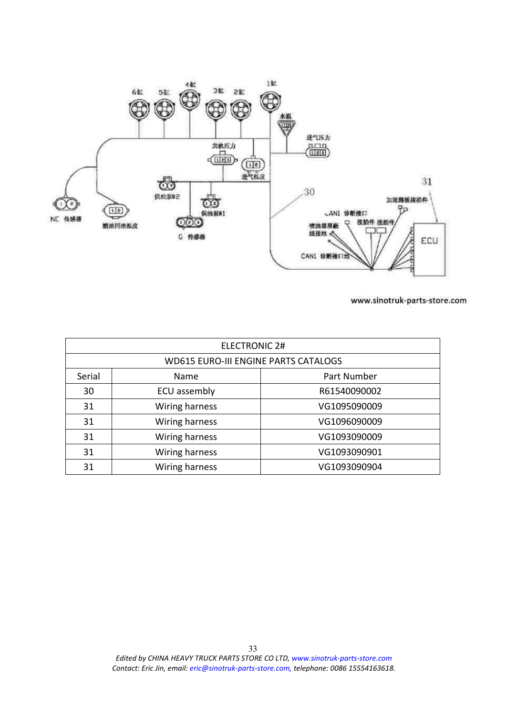<span id="page-32-0"></span>

| <b>ELECTRONIC 2#</b> |                                             |              |
|----------------------|---------------------------------------------|--------------|
|                      | <b>WD615 EURO-III ENGINE PARTS CATALOGS</b> |              |
| Serial               | Name                                        | Part Number  |
| 30                   | ECU assembly                                | R61540090002 |
| 31                   | Wiring harness                              | VG1095090009 |
| 31                   | Wiring harness                              | VG1096090009 |
| 31                   | Wiring harness                              | VG1093090009 |
| 31                   | Wiring harness                              | VG1093090901 |
| 31                   | Wiring harness                              | VG1093090904 |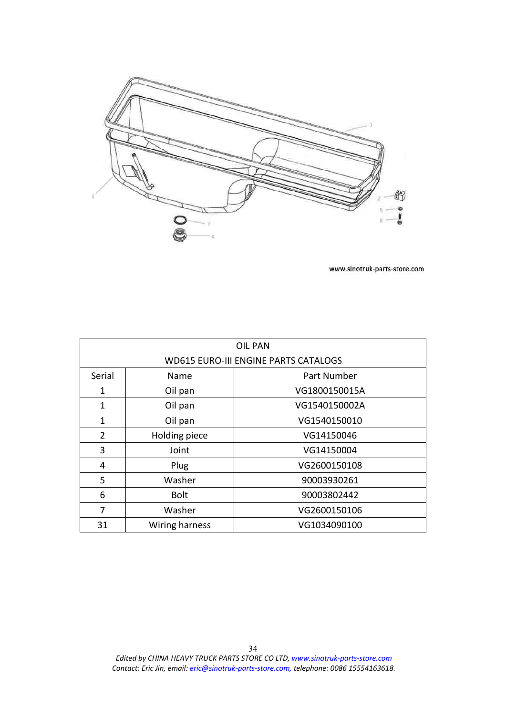<span id="page-33-0"></span>

|                                             |                | <b>OIL PAN</b> |
|---------------------------------------------|----------------|----------------|
| <b>WD615 EURO-III ENGINE PARTS CATALOGS</b> |                |                |
| Serial                                      | Name           | Part Number    |
| 1                                           | Oil pan        | VG1800150015A  |
| 1                                           | Oil pan        | VG1540150002A  |
| 1                                           | Oil pan        | VG1540150010   |
| 2                                           | Holding piece  | VG14150046     |
| 3                                           | Joint          | VG14150004     |
| 4                                           | Plug           | VG2600150108   |
| 5                                           | Washer         | 90003930261    |
| 6                                           | <b>Bolt</b>    | 90003802442    |
| 7                                           | Washer         | VG2600150106   |
| 31                                          | Wiring harness | VG1034090100   |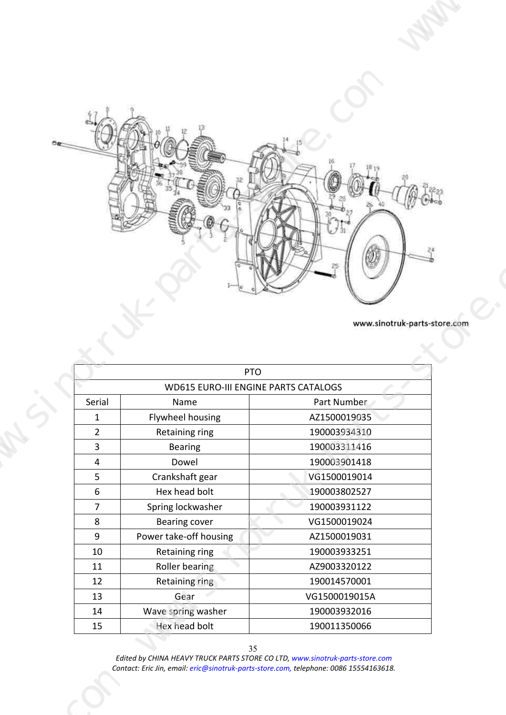

<span id="page-34-0"></span>

|                                             |                        | <b>PTO</b>    |  |
|---------------------------------------------|------------------------|---------------|--|
| <b>WD615 EURO-III ENGINE PARTS CATALOGS</b> |                        |               |  |
| Serial                                      | Name                   | Part Number   |  |
| 1                                           | Flywheel housing       | AZ1500019035  |  |
| 2                                           | Retaining ring         | 190003934310  |  |
| 3                                           | <b>Bearing</b>         | 190003311416  |  |
| 4                                           | Dowel                  | 190003901418  |  |
| 5                                           | Crankshaft gear        | VG1500019014  |  |
| 6                                           | Hex head bolt          | 190003802527  |  |
| $\overline{7}$                              | Spring lockwasher      | 190003931122  |  |
| 8                                           | Bearing cover          | VG1500019024  |  |
| 9                                           | Power take-off housing | AZ1500019031  |  |
| 10                                          | Retaining ring         | 190003933251  |  |
| 11                                          | Roller bearing         | AZ9003320122  |  |
| 12                                          | Retaining ring         | 190014570001  |  |
| 13                                          | Gear                   | VG1500019015A |  |
| 14                                          | Wave spring washer     | 190003932016  |  |
| 15                                          | Hex head bolt          | 190011350066  |  |